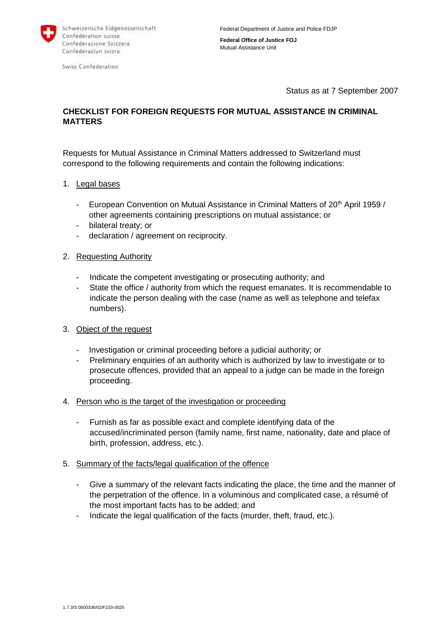

Swiss Confederation

**Federal Office of Justice FOJ** Mutual Assistance Unit

Status as at 7 September 2007

# **CHECKLIST FOR FOREIGN REQUESTS FOR MUTUAL ASSISTANCE IN CRIMINAL MATTERS**

Requests for Mutual Assistance in Criminal Matters addressed to Switzerland must correspond to the following requirements and contain the following indications:

- 1. Legal bases
	- European Convention on Mutual Assistance in Criminal Matters of  $20<sup>th</sup>$  April 1959 / other agreements containing prescriptions on mutual assistance; or
	- bilateral treaty; or
	- declaration / agreement on reciprocity.

#### 2. Requesting Authority

- Indicate the competent investigating or prosecuting authority; and
- State the office / authority from which the request emanates. It is recommendable to indicate the person dealing with the case (name as well as telephone and telefax numbers).

### 3. Object of the request

- Investigation or criminal proceeding before a judicial authority; or
- Preliminary enquiries of an authority which is authorized by law to investigate or to prosecute offences, provided that an appeal to a judge can be made in the foreign proceeding.
- 4. Person who is the target of the investigation or proceeding
	- Furnish as far as possible exact and complete identifying data of the accused/incriminated person (family name, first name, nationality, date and place of birth, profession, address, etc.).
- 5. Summary of the facts/legal qualification of the offence
	- Give a summary of the relevant facts indicating the place, the time and the manner of the perpetration of the offence. In a voluminous and complicated case, a résumé of the most important facts has to be added; and
	- Indicate the legal qualification of the facts (murder, theft, fraud, etc.).